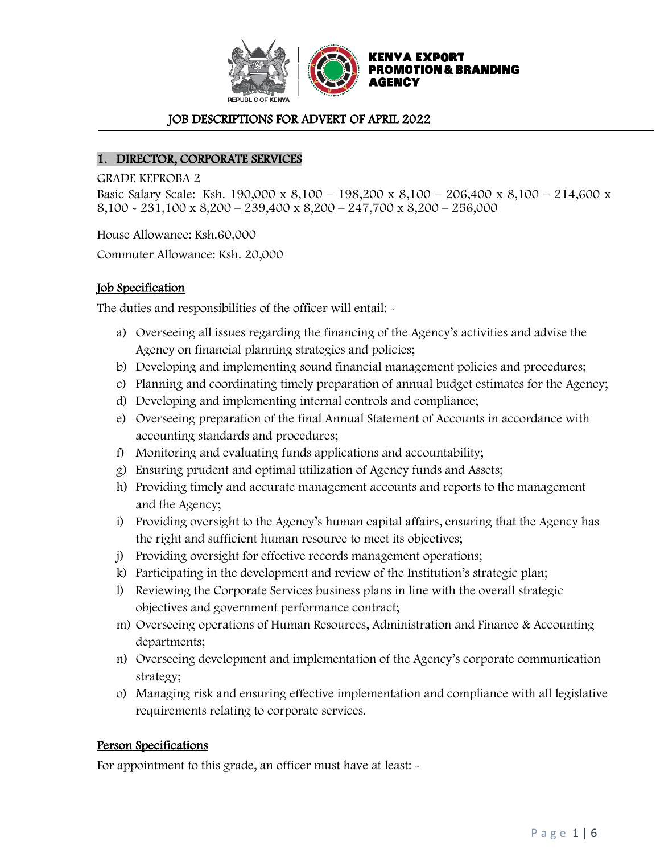

### JOB DESCRIPTIONS FOR ADVERT OF APRIL 2022

#### 1. DIRECTOR, CORPORATE SERVICES

GRADE KEPROBA 2

Basic Salary Scale: Ksh. 190,000 x 8,100 – 198,200 x 8,100 – 206,400 x 8,100 – 214,600 x 8,100 - 231,100 x 8,200 – 239,400 x 8,200 – 247,700 x 8,200 – 256,000

House Allowance: Ksh.60,000

Commuter Allowance: Ksh. 20,000

#### Job Specification

The duties and responsibilities of the officer will entail: -

- a) Overseeing all issues regarding the financing of the Agency's activities and advise the Agency on financial planning strategies and policies;
- b) Developing and implementing sound financial management policies and procedures;
- c) Planning and coordinating timely preparation of annual budget estimates for the Agency;
- d) Developing and implementing internal controls and compliance;
- e) Overseeing preparation of the final Annual Statement of Accounts in accordance with accounting standards and procedures;
- f) Monitoring and evaluating funds applications and accountability;
- g) Ensuring prudent and optimal utilization of Agency funds and Assets;
- h) Providing timely and accurate management accounts and reports to the management and the Agency;
- i) Providing oversight to the Agency's human capital affairs, ensuring that the Agency has the right and sufficient human resource to meet its objectives;
- j) Providing oversight for effective records management operations;
- k) Participating in the development and review of the Institution's strategic plan;
- l) Reviewing the Corporate Services business plans in line with the overall strategic objectives and government performance contract;
- m) Overseeing operations of Human Resources, Administration and Finance & Accounting departments;
- n) Overseeing development and implementation of the Agency's corporate communication strategy;
- o) Managing risk and ensuring effective implementation and compliance with all legislative requirements relating to corporate services.

#### Person Specifications

For appointment to this grade, an officer must have at least:  $\sim$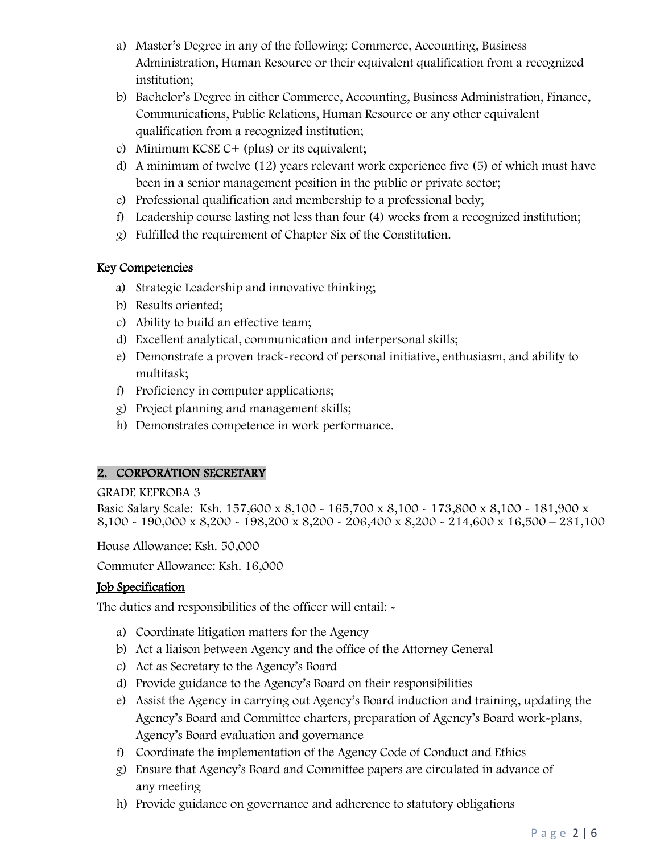- a) Master's Degree in any of the following: Commerce, Accounting, Business Administration, Human Resource or their equivalent qualification from a recognized institution;
- b) Bachelor's Degree in either Commerce, Accounting, Business Administration, Finance, Communications, Public Relations, Human Resource or any other equivalent qualification from a recognized institution;
- c) Minimum KCSE C+ (plus) or its equivalent;
- d) A minimum of twelve (12) years relevant work experience five (5) of which must have been in a senior management position in the public or private sector;
- e) Professional qualification and membership to a professional body;
- f) Leadership course lasting not less than four (4) weeks from a recognized institution;
- g) Fulfilled the requirement of Chapter Six of the Constitution.

# Key Competencies

- a) Strategic Leadership and innovative thinking;
- b) Results oriented;
- c) Ability to build an effective team;
- d) Excellent analytical, communication and interpersonal skills;
- e) Demonstrate a proven track-record of personal initiative, enthusiasm, and ability to multitask;
- f) Proficiency in computer applications;
- g) Project planning and management skills;
- h) Demonstrates competence in work performance.

# 2. CORPORATION SECRETARY

#### GRADE KEPROBA 3

Basic Salary Scale: Ksh. 157,600 x 8,100 - 165,700 x 8,100 - 173,800 x 8,100 - 181,900 x 8,100 - 190,000 x 8,200 - 198,200 x 8,200 - 206,400 x 8,200 - 214,600 x 16,500 – 231,100

House Allowance: Ksh. 50,000

Commuter Allowance: Ksh. 16,000

# Job Specification

The duties and responsibilities of the officer will entail: -

- a) Coordinate litigation matters for the Agency
- b) Act a liaison between Agency and the office of the Attorney General
- c) Act as Secretary to the Agency's Board
- d) Provide guidance to the Agency's Board on their responsibilities
- e) Assist the Agency in carrying out Agency's Board induction and training, updating the Agency's Board and Committee charters, preparation of Agency's Board work-plans, Agency's Board evaluation and governance
- f) Coordinate the implementation of the Agency Code of Conduct and Ethics
- g) Ensure that Agency's Board and Committee papers are circulated in advance of any meeting
- h) Provide guidance on governance and adherence to statutory obligations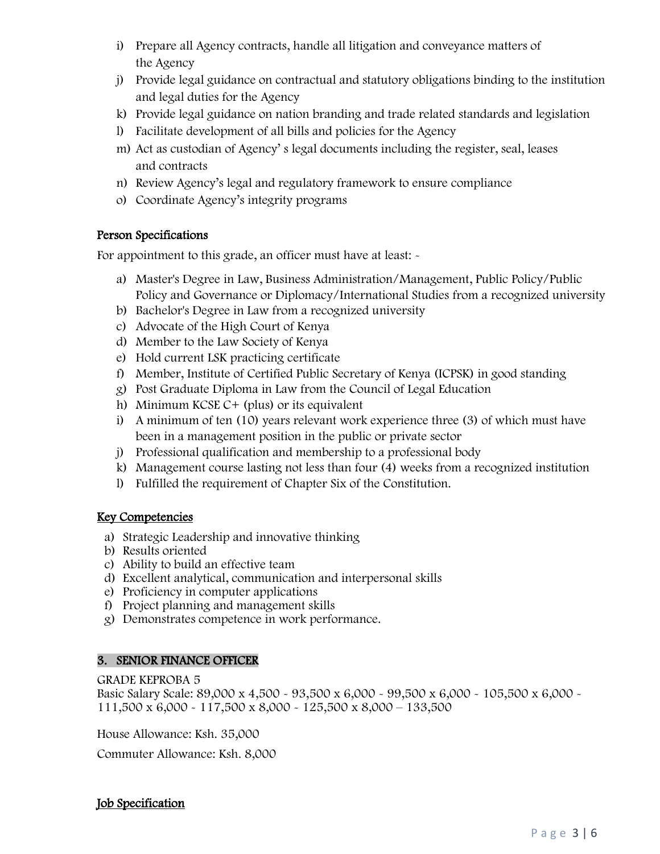- i) Prepare all Agency contracts, handle all litigation and conveyance matters of the Agency
- j) Provide legal guidance on contractual and statutory obligations binding to the institution and legal duties for the Agency
- k) Provide legal guidance on nation branding and trade related standards and legislation
- l) Facilitate development of all bills and policies for the Agency
- m) Act as custodian of Agency' s legal documents including the register, seal, leases and contracts
- n) Review Agency's legal and regulatory framework to ensure compliance
- o) Coordinate Agency's integrity programs

# Person Specifications

For appointment to this grade, an officer must have at least: -

- a) Master's Degree in Law, Business Administration/Management, Public Policy/Public Policy and Governance or Diplomacy/International Studies from a recognized university
- b) Bachelor's Degree in Law from a recognized university
- c) Advocate of the High Court of Kenya
- d) Member to the Law Society of Kenya
- e) Hold current LSK practicing certificate
- f) Member, Institute of Certified Public Secretary of Kenya (ICPSK) in good standing
- g) Post Graduate Diploma in Law from the Council of Legal Education
- h) Minimum KCSE C+ (plus) or its equivalent
- i) A minimum of ten (10) years relevant work experience three (3) of which must have been in a management position in the public or private sector
- j) Professional qualification and membership to a professional body
- k) Management course lasting not less than four (4) weeks from a recognized institution
- l) Fulfilled the requirement of Chapter Six of the Constitution.

# Key Competencies

- a) Strategic Leadership and innovative thinking
- b) Results oriented
- c) Ability to build an effective team
- d) Excellent analytical, communication and interpersonal skills
- e) Proficiency in computer applications
- f) Project planning and management skills
- g) Demonstrates competence in work performance.

# 3. SENIOR FINANCE OFFICER

GRADE KEPROBA 5

Basic Salary Scale: 89,000 x 4,500 - 93,500 x 6,000 - 99,500 x 6,000 - 105,500 x 6,000 -111,500 x 6,000 - 117,500 x 8,000 - 125,500 x 8,000 – 133,500

House Allowance: Ksh. 35,000

Commuter Allowance: Ksh. 8,000

# Job Specification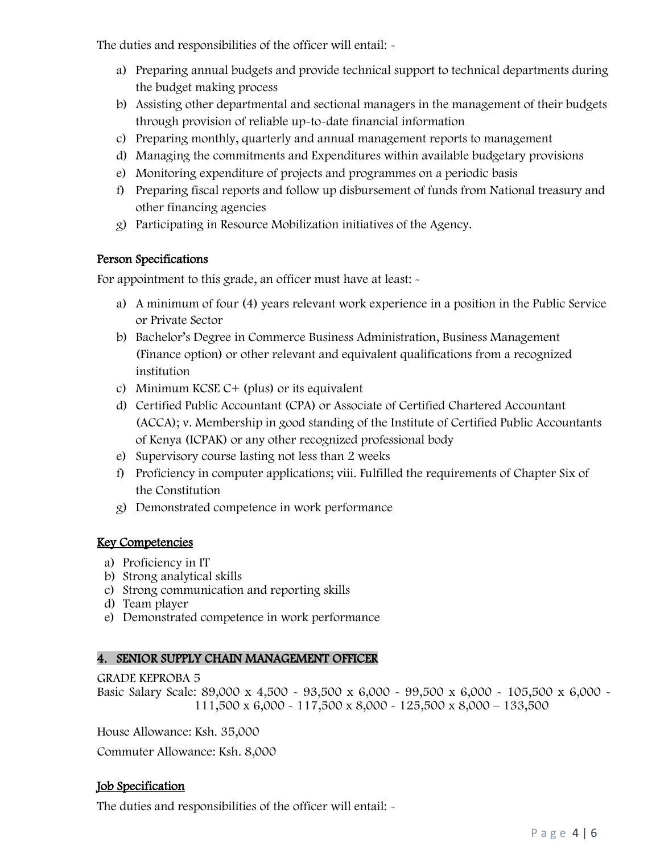The duties and responsibilities of the officer will entail: -

- a) Preparing annual budgets and provide technical support to technical departments during the budget making process
- b) Assisting other departmental and sectional managers in the management of their budgets through provision of reliable up-to-date financial information
- c) Preparing monthly, quarterly and annual management reports to management
- d) Managing the commitments and Expenditures within available budgetary provisions
- e) Monitoring expenditure of projects and programmes on a periodic basis
- f) Preparing fiscal reports and follow up disbursement of funds from National treasury and other financing agencies
- g) Participating in Resource Mobilization initiatives of the Agency.

# Person Specifications

For appointment to this grade, an officer must have at least:  $\sim$ 

- a) A minimum of four (4) years relevant work experience in a position in the Public Service or Private Sector
- b) Bachelor's Degree in Commerce Business Administration, Business Management (Finance option) or other relevant and equivalent qualifications from a recognized institution
- c) Minimum KCSE  $C+$  (plus) or its equivalent
- d) Certified Public Accountant (CPA) or Associate of Certified Chartered Accountant (ACCA); v. Membership in good standing of the Institute of Certified Public Accountants of Kenya (ICPAK) or any other recognized professional body
- e) Supervisory course lasting not less than 2 weeks
- f) Proficiency in computer applications; viii. Fulfilled the requirements of Chapter Six of the Constitution
- g) Demonstrated competence in work performance

# Key Competencies

- a) Proficiency in IT
- b) Strong analytical skills
- c) Strong communication and reporting skills
- d) Team player
- e) Demonstrated competence in work performance

#### 4. SENIOR SUPPLY CHAIN MANAGEMENT OFFICER

#### GRADE KEPROBA 5

Basic Salary Scale: 89,000 x 4,500 - 93,500 x 6,000 - 99,500 x 6,000 - 105,500 x 6,000 -111,500 x 6,000 - 117,500 x 8,000 - 125,500 x 8,000 – 133,500

House Allowance: Ksh. 35,000

Commuter Allowance: Ksh. 8,000

# Job Specification

The duties and responsibilities of the officer will entail: -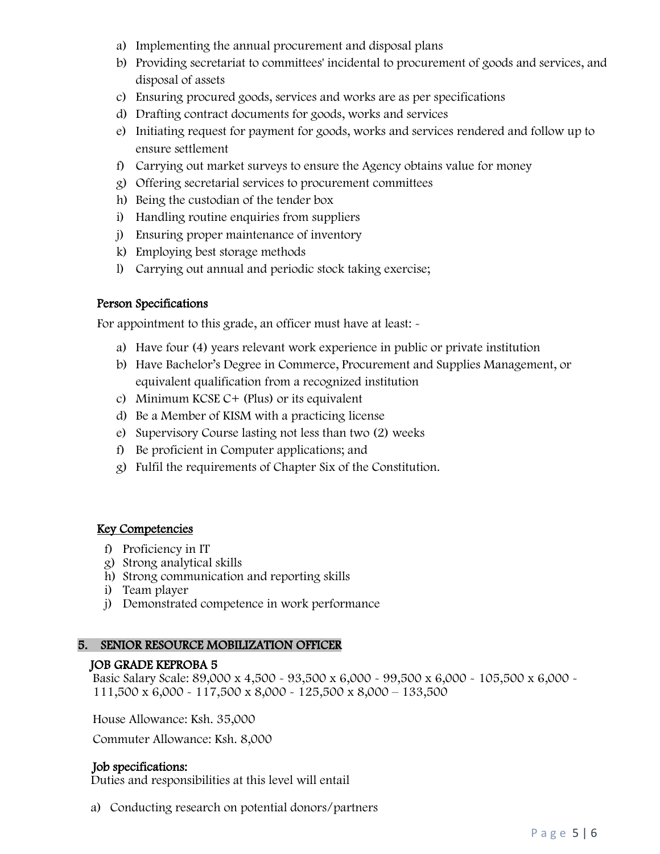- a) Implementing the annual procurement and disposal plans
- b) Providing secretariat to committees' incidental to procurement of goods and services, and disposal of assets
- c) Ensuring procured goods, services and works are as per specifications
- d) Drafting contract documents for goods, works and services
- e) Initiating request for payment for goods, works and services rendered and follow up to ensure settlement
- f) Carrying out market surveys to ensure the Agency obtains value for money
- g) Offering secretarial services to procurement committees
- h) Being the custodian of the tender box
- i) Handling routine enquiries from suppliers
- j) Ensuring proper maintenance of inventory
- k) Employing best storage methods
- l) Carrying out annual and periodic stock taking exercise;

#### Person Specifications

For appointment to this grade, an officer must have at least:  $\sim$ 

- a) Have four (4) years relevant work experience in public or private institution
- b) Have Bachelor's Degree in Commerce, Procurement and Supplies Management, or equivalent qualification from a recognized institution
- c) Minimum KCSE C+ (Plus) or its equivalent
- d) Be a Member of KISM with a practicing license
- e) Supervisory Course lasting not less than two (2) weeks
- f) Be proficient in Computer applications; and
- g) Fulfil the requirements of Chapter Six of the Constitution.

#### Key Competencies

- f) Proficiency in IT
- g) Strong analytical skills
- h) Strong communication and reporting skills
- i) Team player
- j) Demonstrated competence in work performance

#### 5. SENIOR RESOURCE MOBILIZATION OFFICER

#### JOB GRADE KEPROBA 5

Basic Salary Scale: 89,000 x 4,500 - 93,500 x 6,000 - 99,500 x 6,000 - 105,500 x 6,000 - 111,500 x 6,000 - 117,500 x 8,000 - 125,500 x 8,000 – 133,500

House Allowance: Ksh. 35,000

Commuter Allowance: Ksh. 8,000

#### Job specifications:

Duties and responsibilities at this level will entail

a) Conducting research on potential donors/partners